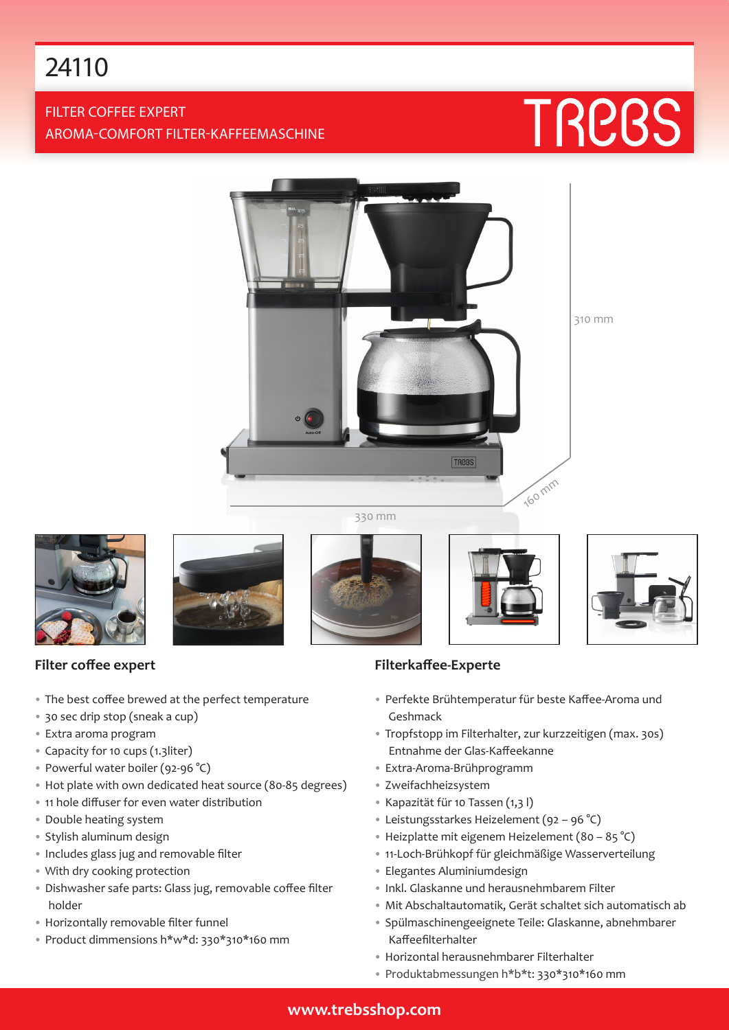# 24110

# FILTER COFFEE EXPERT AROMA-COMFORT FILTER-KAFFEEMASCHINE

# TREBS



310 mm

330 mm







- The best coffee brewed at the perfect temperature
- 30 sec drip stop (sneak a cup)
- Extra aroma program
- Capacity for 10 cups (1.3liter)
- Powerful water boiler (92-96 °C)
- Hot plate with own dedicated heat source (80-85 degrees)
- 11 hole diffuser for even water distribution
- Double heating system
- Stylish aluminum design
- Includes glass jug and removable filter
- With dry cooking protection
- Dishwasher safe parts: Glass jug, removable coffee filter holder
- Horizontally removable filter funnel
- Product dimmensions h\*w\*d: 330\*310\*160 mm





## **Filterkaffee-Experte**

- Perfekte Brühtemperatur für beste Kaffee-Aroma und Geshmack
- Tropfstopp im Filterhalter, zur kurzzeitigen (max. 30s) Entnahme der Glas-Kaffeekanne
- Extra-Aroma-Brühprogramm
- Zweifachheizsystem
- Kapazität für 10 Tassen (1,3 l)
- Leistungsstarkes Heizelement (92 96 °C)
- Heizplatte mit eigenem Heizelement (80 85 °C)
- 11-Loch-Brühkopf für gleichmäßige Wasserverteilung
- Elegantes Aluminiumdesign
- Inkl. Glaskanne und herausnehmbarem Filter
- Mit Abschaltautomatik, Gerät schaltet sich automatisch ab
- Spülmaschinengeeignete Teile: Glaskanne, abnehmbarer Kaffeefilterhalter
- Horizontal herausnehmbarer Filterhalter
- Produktabmessungen h\*b\*t: 330\*310\*160 mm